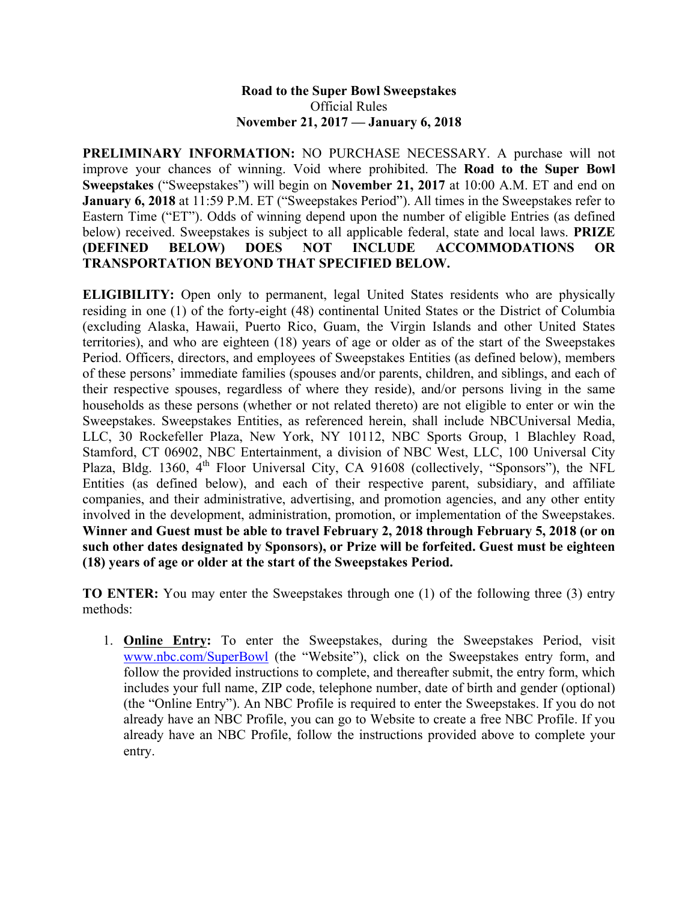## **Road to the Super Bowl Sweepstakes** Official Rules **November 21, 2017 — January 6, 2018**

**PRELIMINARY INFORMATION:** NO PURCHASE NECESSARY. A purchase will not improve your chances of winning. Void where prohibited. The **Road to the Super Bowl Sweepstakes** ("Sweepstakes") will begin on **November 21, 2017** at 10:00 A.M. ET and end on **January 6, 2018** at 11:59 P.M. ET ("Sweepstakes Period"). All times in the Sweepstakes refer to Eastern Time ("ET"). Odds of winning depend upon the number of eligible Entries (as defined below) received. Sweepstakes is subject to all applicable federal, state and local laws. **PRIZE (DEFINED BELOW) DOES NOT INCLUDE ACCOMMODATIONS OR TRANSPORTATION BEYOND THAT SPECIFIED BELOW.**

**ELIGIBILITY:** Open only to permanent, legal United States residents who are physically residing in one (1) of the forty-eight (48) continental United States or the District of Columbia (excluding Alaska, Hawaii, Puerto Rico, Guam, the Virgin Islands and other United States territories), and who are eighteen (18) years of age or older as of the start of the Sweepstakes Period. Officers, directors, and employees of Sweepstakes Entities (as defined below), members of these persons' immediate families (spouses and/or parents, children, and siblings, and each of their respective spouses, regardless of where they reside), and/or persons living in the same households as these persons (whether or not related thereto) are not eligible to enter or win the Sweepstakes. Sweepstakes Entities, as referenced herein, shall include NBCUniversal Media, LLC, 30 Rockefeller Plaza, New York, NY 10112, NBC Sports Group, 1 Blachley Road, Stamford, CT 06902, NBC Entertainment, a division of NBC West, LLC, 100 Universal City Plaza, Bldg. 1360,  $4<sup>th</sup>$  Floor Universal City, CA 91608 (collectively, "Sponsors"), the NFL Entities (as defined below), and each of their respective parent, subsidiary, and affiliate companies, and their administrative, advertising, and promotion agencies, and any other entity involved in the development, administration, promotion, or implementation of the Sweepstakes. **Winner and Guest must be able to travel February 2, 2018 through February 5, 2018 (or on such other dates designated by Sponsors), or Prize will be forfeited. Guest must be eighteen (18) years of age or older at the start of the Sweepstakes Period.**

**TO ENTER:** You may enter the Sweepstakes through one (1) of the following three (3) entry methods:

1. **Online Entry:** To enter the Sweepstakes, during the Sweepstakes Period, visit www.nbc.com/SuperBowl (the "Website"), click on the Sweepstakes entry form, and follow the provided instructions to complete, and thereafter submit, the entry form, which includes your full name, ZIP code, telephone number, date of birth and gender (optional) (the "Online Entry"). An NBC Profile is required to enter the Sweepstakes. If you do not already have an NBC Profile, you can go to Website to create a free NBC Profile. If you already have an NBC Profile, follow the instructions provided above to complete your entry.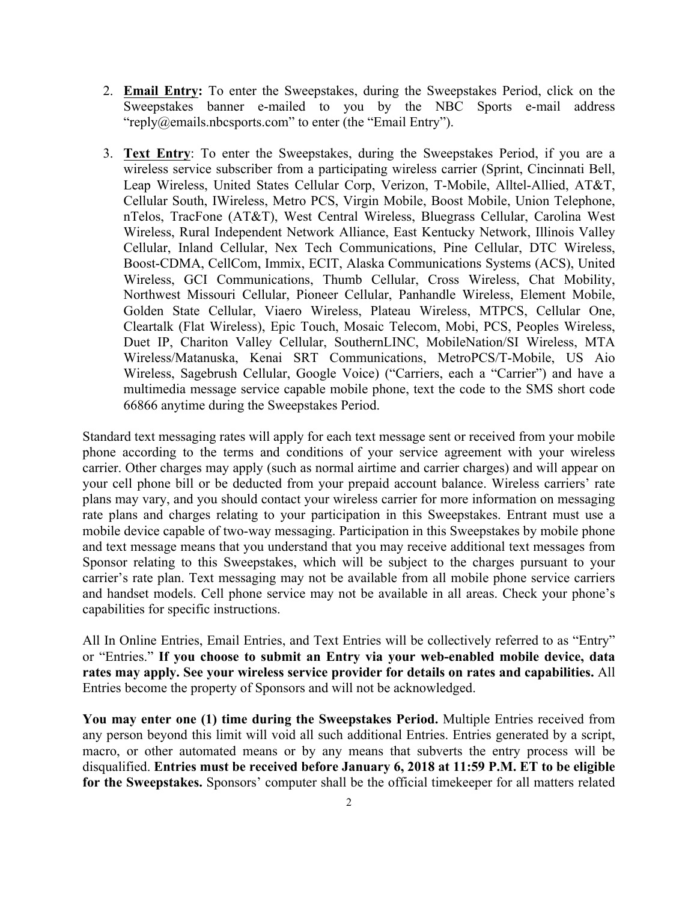- 2. **Email Entry:** To enter the Sweepstakes, during the Sweepstakes Period, click on the Sweepstakes banner e-mailed to you by the NBC Sports e-mail address "reply@emails.nbcsports.com" to enter (the "Email Entry").
- 3. **Text Entry**: To enter the Sweepstakes, during the Sweepstakes Period, if you are a wireless service subscriber from a participating wireless carrier (Sprint, Cincinnati Bell, Leap Wireless, United States Cellular Corp, Verizon, T-Mobile, Alltel-Allied, AT&T, Cellular South, IWireless, Metro PCS, Virgin Mobile, Boost Mobile, Union Telephone, nTelos, TracFone (AT&T), West Central Wireless, Bluegrass Cellular, Carolina West Wireless, Rural Independent Network Alliance, East Kentucky Network, Illinois Valley Cellular, Inland Cellular, Nex Tech Communications, Pine Cellular, DTC Wireless, Boost-CDMA, CellCom, Immix, ECIT, Alaska Communications Systems (ACS), United Wireless, GCI Communications, Thumb Cellular, Cross Wireless, Chat Mobility, Northwest Missouri Cellular, Pioneer Cellular, Panhandle Wireless, Element Mobile, Golden State Cellular, Viaero Wireless, Plateau Wireless, MTPCS, Cellular One, Cleartalk (Flat Wireless), Epic Touch, Mosaic Telecom, Mobi, PCS, Peoples Wireless, Duet IP, Chariton Valley Cellular, SouthernLINC, MobileNation/SI Wireless, MTA Wireless/Matanuska, Kenai SRT Communications, MetroPCS/T-Mobile, US Aio Wireless, Sagebrush Cellular, Google Voice) ("Carriers, each a "Carrier") and have a multimedia message service capable mobile phone, text the code to the SMS short code 66866 anytime during the Sweepstakes Period.

Standard text messaging rates will apply for each text message sent or received from your mobile phone according to the terms and conditions of your service agreement with your wireless carrier. Other charges may apply (such as normal airtime and carrier charges) and will appear on your cell phone bill or be deducted from your prepaid account balance. Wireless carriers' rate plans may vary, and you should contact your wireless carrier for more information on messaging rate plans and charges relating to your participation in this Sweepstakes. Entrant must use a mobile device capable of two-way messaging. Participation in this Sweepstakes by mobile phone and text message means that you understand that you may receive additional text messages from Sponsor relating to this Sweepstakes, which will be subject to the charges pursuant to your carrier's rate plan. Text messaging may not be available from all mobile phone service carriers and handset models. Cell phone service may not be available in all areas. Check your phone's capabilities for specific instructions.

All In Online Entries, Email Entries, and Text Entries will be collectively referred to as "Entry" or "Entries." **If you choose to submit an Entry via your web-enabled mobile device, data rates may apply. See your wireless service provider for details on rates and capabilities.** All Entries become the property of Sponsors and will not be acknowledged.

**You may enter one (1) time during the Sweepstakes Period.** Multiple Entries received from any person beyond this limit will void all such additional Entries. Entries generated by a script, macro, or other automated means or by any means that subverts the entry process will be disqualified. **Entries must be received before January 6, 2018 at 11:59 P.M. ET to be eligible for the Sweepstakes.** Sponsors' computer shall be the official timekeeper for all matters related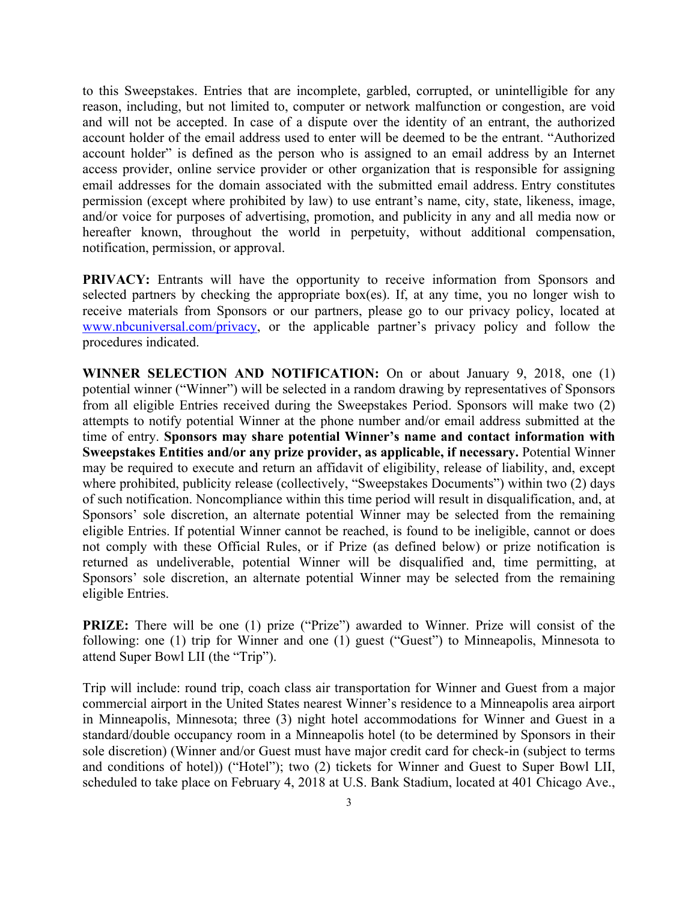to this Sweepstakes. Entries that are incomplete, garbled, corrupted, or unintelligible for any reason, including, but not limited to, computer or network malfunction or congestion, are void and will not be accepted. In case of a dispute over the identity of an entrant, the authorized account holder of the email address used to enter will be deemed to be the entrant. "Authorized account holder" is defined as the person who is assigned to an email address by an Internet access provider, online service provider or other organization that is responsible for assigning email addresses for the domain associated with the submitted email address. Entry constitutes permission (except where prohibited by law) to use entrant's name, city, state, likeness, image, and/or voice for purposes of advertising, promotion, and publicity in any and all media now or hereafter known, throughout the world in perpetuity, without additional compensation, notification, permission, or approval.

**PRIVACY:** Entrants will have the opportunity to receive information from Sponsors and selected partners by checking the appropriate box(es). If, at any time, you no longer wish to receive materials from Sponsors or our partners, please go to our privacy policy, located at www.nbcuniversal.com/privacy, or the applicable partner's privacy policy and follow the procedures indicated.

**WINNER SELECTION AND NOTIFICATION:** On or about January 9, 2018, one (1) potential winner ("Winner") will be selected in a random drawing by representatives of Sponsors from all eligible Entries received during the Sweepstakes Period. Sponsors will make two (2) attempts to notify potential Winner at the phone number and/or email address submitted at the time of entry. **Sponsors may share potential Winner's name and contact information with Sweepstakes Entities and/or any prize provider, as applicable, if necessary.** Potential Winner may be required to execute and return an affidavit of eligibility, release of liability, and, except where prohibited, publicity release (collectively, "Sweepstakes Documents") within two (2) days of such notification. Noncompliance within this time period will result in disqualification, and, at Sponsors' sole discretion, an alternate potential Winner may be selected from the remaining eligible Entries. If potential Winner cannot be reached, is found to be ineligible, cannot or does not comply with these Official Rules, or if Prize (as defined below) or prize notification is returned as undeliverable, potential Winner will be disqualified and, time permitting, at Sponsors' sole discretion, an alternate potential Winner may be selected from the remaining eligible Entries.

**PRIZE:** There will be one (1) prize ("Prize") awarded to Winner. Prize will consist of the following: one (1) trip for Winner and one (1) guest ("Guest") to Minneapolis, Minnesota to attend Super Bowl LII (the "Trip").

Trip will include: round trip, coach class air transportation for Winner and Guest from a major commercial airport in the United States nearest Winner's residence to a Minneapolis area airport in Minneapolis, Minnesota; three (3) night hotel accommodations for Winner and Guest in a standard/double occupancy room in a Minneapolis hotel (to be determined by Sponsors in their sole discretion) (Winner and/or Guest must have major credit card for check-in (subject to terms and conditions of hotel)) ("Hotel"); two (2) tickets for Winner and Guest to Super Bowl LII, scheduled to take place on February 4, 2018 at U.S. Bank Stadium, located at 401 Chicago Ave.,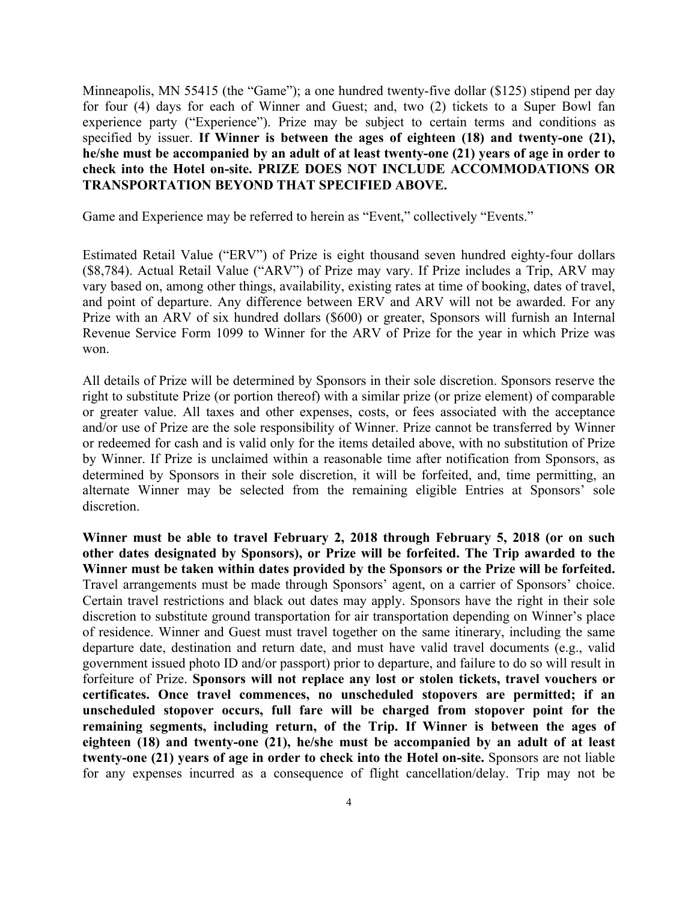Minneapolis, MN 55415 (the "Game"); a one hundred twenty-five dollar (\$125) stipend per day for four (4) days for each of Winner and Guest; and, two (2) tickets to a Super Bowl fan experience party ("Experience"). Prize may be subject to certain terms and conditions as specified by issuer. **If Winner is between the ages of eighteen (18) and twenty-one (21), he/she must be accompanied by an adult of at least twenty-one (21) years of age in order to check into the Hotel on-site. PRIZE DOES NOT INCLUDE ACCOMMODATIONS OR TRANSPORTATION BEYOND THAT SPECIFIED ABOVE.**

Game and Experience may be referred to herein as "Event," collectively "Events."

Estimated Retail Value ("ERV") of Prize is eight thousand seven hundred eighty-four dollars (\$8,784). Actual Retail Value ("ARV") of Prize may vary. If Prize includes a Trip, ARV may vary based on, among other things, availability, existing rates at time of booking, dates of travel, and point of departure. Any difference between ERV and ARV will not be awarded. For any Prize with an ARV of six hundred dollars (\$600) or greater, Sponsors will furnish an Internal Revenue Service Form 1099 to Winner for the ARV of Prize for the year in which Prize was won.

All details of Prize will be determined by Sponsors in their sole discretion. Sponsors reserve the right to substitute Prize (or portion thereof) with a similar prize (or prize element) of comparable or greater value. All taxes and other expenses, costs, or fees associated with the acceptance and/or use of Prize are the sole responsibility of Winner. Prize cannot be transferred by Winner or redeemed for cash and is valid only for the items detailed above, with no substitution of Prize by Winner. If Prize is unclaimed within a reasonable time after notification from Sponsors, as determined by Sponsors in their sole discretion, it will be forfeited, and, time permitting, an alternate Winner may be selected from the remaining eligible Entries at Sponsors' sole discretion.

**Winner must be able to travel February 2, 2018 through February 5, 2018 (or on such other dates designated by Sponsors), or Prize will be forfeited. The Trip awarded to the Winner must be taken within dates provided by the Sponsors or the Prize will be forfeited.** Travel arrangements must be made through Sponsors' agent, on a carrier of Sponsors' choice. Certain travel restrictions and black out dates may apply. Sponsors have the right in their sole discretion to substitute ground transportation for air transportation depending on Winner's place of residence. Winner and Guest must travel together on the same itinerary, including the same departure date, destination and return date, and must have valid travel documents (e.g., valid government issued photo ID and/or passport) prior to departure, and failure to do so will result in forfeiture of Prize. **Sponsors will not replace any lost or stolen tickets, travel vouchers or certificates. Once travel commences, no unscheduled stopovers are permitted; if an unscheduled stopover occurs, full fare will be charged from stopover point for the remaining segments, including return, of the Trip. If Winner is between the ages of eighteen (18) and twenty-one (21), he/she must be accompanied by an adult of at least twenty-one (21) years of age in order to check into the Hotel on-site.** Sponsors are not liable for any expenses incurred as a consequence of flight cancellation/delay. Trip may not be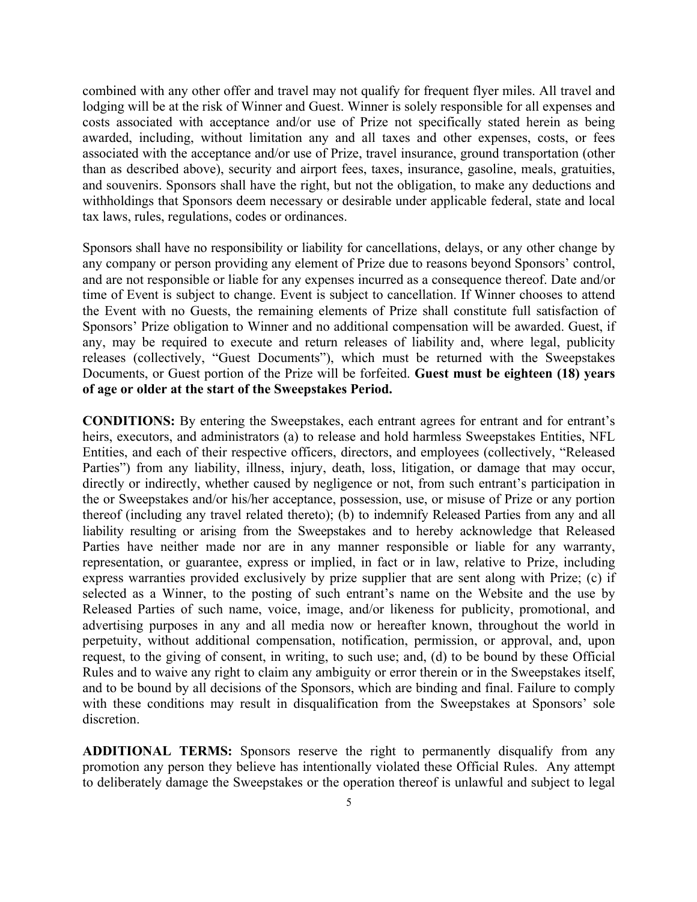combined with any other offer and travel may not qualify for frequent flyer miles. All travel and lodging will be at the risk of Winner and Guest. Winner is solely responsible for all expenses and costs associated with acceptance and/or use of Prize not specifically stated herein as being awarded, including, without limitation any and all taxes and other expenses, costs, or fees associated with the acceptance and/or use of Prize, travel insurance, ground transportation (other than as described above), security and airport fees, taxes, insurance, gasoline, meals, gratuities, and souvenirs. Sponsors shall have the right, but not the obligation, to make any deductions and withholdings that Sponsors deem necessary or desirable under applicable federal, state and local tax laws, rules, regulations, codes or ordinances.

Sponsors shall have no responsibility or liability for cancellations, delays, or any other change by any company or person providing any element of Prize due to reasons beyond Sponsors' control, and are not responsible or liable for any expenses incurred as a consequence thereof. Date and/or time of Event is subject to change. Event is subject to cancellation. If Winner chooses to attend the Event with no Guests, the remaining elements of Prize shall constitute full satisfaction of Sponsors' Prize obligation to Winner and no additional compensation will be awarded. Guest, if any, may be required to execute and return releases of liability and, where legal, publicity releases (collectively, "Guest Documents"), which must be returned with the Sweepstakes Documents, or Guest portion of the Prize will be forfeited. **Guest must be eighteen (18) years of age or older at the start of the Sweepstakes Period.**

**CONDITIONS:** By entering the Sweepstakes, each entrant agrees for entrant and for entrant's heirs, executors, and administrators (a) to release and hold harmless Sweepstakes Entities, NFL Entities, and each of their respective officers, directors, and employees (collectively, "Released Parties") from any liability, illness, injury, death, loss, litigation, or damage that may occur, directly or indirectly, whether caused by negligence or not, from such entrant's participation in the or Sweepstakes and/or his/her acceptance, possession, use, or misuse of Prize or any portion thereof (including any travel related thereto); (b) to indemnify Released Parties from any and all liability resulting or arising from the Sweepstakes and to hereby acknowledge that Released Parties have neither made nor are in any manner responsible or liable for any warranty, representation, or guarantee, express or implied, in fact or in law, relative to Prize, including express warranties provided exclusively by prize supplier that are sent along with Prize; (c) if selected as a Winner, to the posting of such entrant's name on the Website and the use by Released Parties of such name, voice, image, and/or likeness for publicity, promotional, and advertising purposes in any and all media now or hereafter known, throughout the world in perpetuity, without additional compensation, notification, permission, or approval, and, upon request, to the giving of consent, in writing, to such use; and, (d) to be bound by these Official Rules and to waive any right to claim any ambiguity or error therein or in the Sweepstakes itself, and to be bound by all decisions of the Sponsors, which are binding and final. Failure to comply with these conditions may result in disqualification from the Sweepstakes at Sponsors' sole discretion.

**ADDITIONAL TERMS:** Sponsors reserve the right to permanently disqualify from any promotion any person they believe has intentionally violated these Official Rules. Any attempt to deliberately damage the Sweepstakes or the operation thereof is unlawful and subject to legal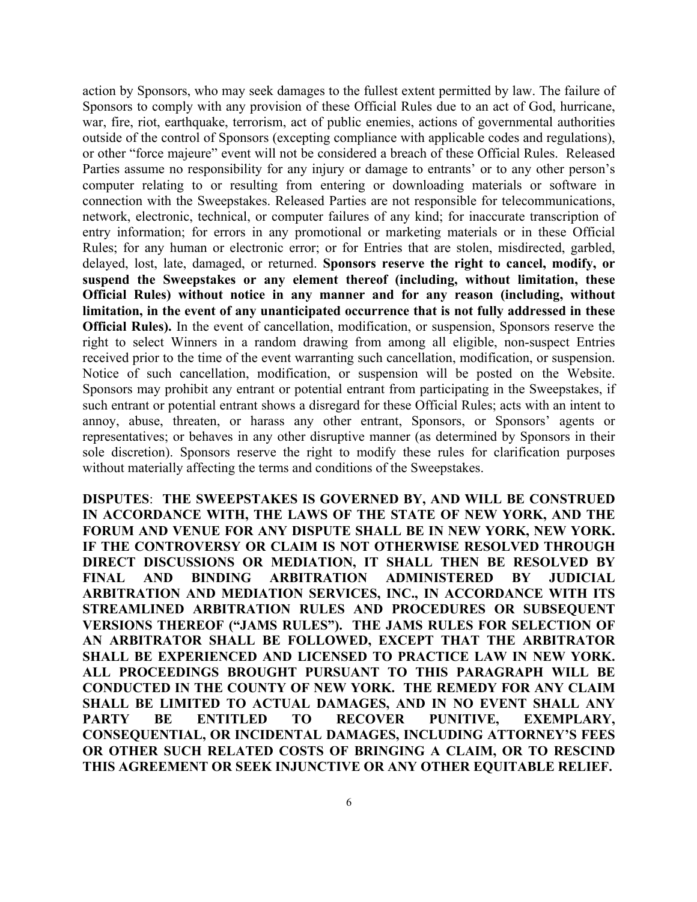action by Sponsors, who may seek damages to the fullest extent permitted by law. The failure of Sponsors to comply with any provision of these Official Rules due to an act of God, hurricane, war, fire, riot, earthquake, terrorism, act of public enemies, actions of governmental authorities outside of the control of Sponsors (excepting compliance with applicable codes and regulations), or other "force majeure" event will not be considered a breach of these Official Rules. Released Parties assume no responsibility for any injury or damage to entrants' or to any other person's computer relating to or resulting from entering or downloading materials or software in connection with the Sweepstakes. Released Parties are not responsible for telecommunications, network, electronic, technical, or computer failures of any kind; for inaccurate transcription of entry information; for errors in any promotional or marketing materials or in these Official Rules; for any human or electronic error; or for Entries that are stolen, misdirected, garbled, delayed, lost, late, damaged, or returned. **Sponsors reserve the right to cancel, modify, or suspend the Sweepstakes or any element thereof (including, without limitation, these Official Rules) without notice in any manner and for any reason (including, without limitation, in the event of any unanticipated occurrence that is not fully addressed in these Official Rules).** In the event of cancellation, modification, or suspension, Sponsors reserve the right to select Winners in a random drawing from among all eligible, non-suspect Entries received prior to the time of the event warranting such cancellation, modification, or suspension. Notice of such cancellation, modification, or suspension will be posted on the Website. Sponsors may prohibit any entrant or potential entrant from participating in the Sweepstakes, if such entrant or potential entrant shows a disregard for these Official Rules; acts with an intent to annoy, abuse, threaten, or harass any other entrant, Sponsors, or Sponsors' agents or representatives; or behaves in any other disruptive manner (as determined by Sponsors in their sole discretion). Sponsors reserve the right to modify these rules for clarification purposes without materially affecting the terms and conditions of the Sweepstakes.

**DISPUTES**: **THE SWEEPSTAKES IS GOVERNED BY, AND WILL BE CONSTRUED IN ACCORDANCE WITH, THE LAWS OF THE STATE OF NEW YORK, AND THE FORUM AND VENUE FOR ANY DISPUTE SHALL BE IN NEW YORK, NEW YORK. IF THE CONTROVERSY OR CLAIM IS NOT OTHERWISE RESOLVED THROUGH DIRECT DISCUSSIONS OR MEDIATION, IT SHALL THEN BE RESOLVED BY FINAL AND BINDING ARBITRATION ADMINISTERED BY JUDICIAL ARBITRATION AND MEDIATION SERVICES, INC., IN ACCORDANCE WITH ITS STREAMLINED ARBITRATION RULES AND PROCEDURES OR SUBSEQUENT VERSIONS THEREOF ("JAMS RULES"). THE JAMS RULES FOR SELECTION OF AN ARBITRATOR SHALL BE FOLLOWED, EXCEPT THAT THE ARBITRATOR SHALL BE EXPERIENCED AND LICENSED TO PRACTICE LAW IN NEW YORK. ALL PROCEEDINGS BROUGHT PURSUANT TO THIS PARAGRAPH WILL BE CONDUCTED IN THE COUNTY OF NEW YORK. THE REMEDY FOR ANY CLAIM SHALL BE LIMITED TO ACTUAL DAMAGES, AND IN NO EVENT SHALL ANY PARTY BE ENTITLED TO RECOVER PUNITIVE, EXEMPLARY, CONSEQUENTIAL, OR INCIDENTAL DAMAGES, INCLUDING ATTORNEY'S FEES OR OTHER SUCH RELATED COSTS OF BRINGING A CLAIM, OR TO RESCIND THIS AGREEMENT OR SEEK INJUNCTIVE OR ANY OTHER EQUITABLE RELIEF.**